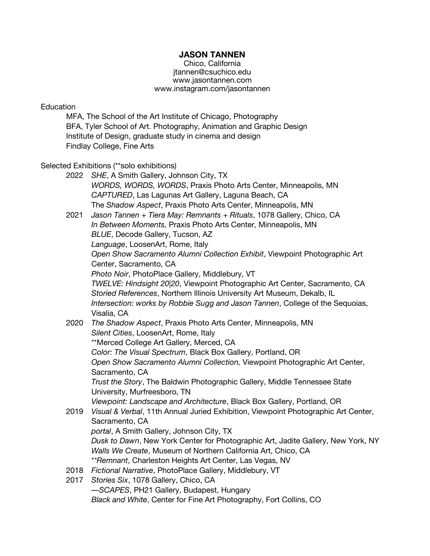# **JASON TANNEN**

Chico, California jtannen@csuchico.edu www.jasontannen.com www.instagram.com/jasontannen

## Education

MFA, The School of the Art Institute of Chicago, Photography BFA, Tyler School of Art. Photography, Animation and Graphic Design Institute of Design, graduate study in cinema and design Findlay College, Fine Arts

#### Selected Exhibitions (\*\*solo exhibitions)

| 2022 | SHE, A Smith Gallery, Johnson City, TX                                             |
|------|------------------------------------------------------------------------------------|
|      | WORDS, WORDS, WORDS, Praxis Photo Arts Center, Minneapolis, MN                     |
|      | CAPTURED, Las Lagunas Art Gallery, Laguna Beach, CA                                |
|      | The Shadow Aspect, Praxis Photo Arts Center, Minneapolis, MN                       |
| 2021 | Jason Tannen + Tiera May: Remnants + Rituals, 1078 Gallery, Chico, CA              |
|      | In Between Moments, Praxis Photo Arts Center, Minneapolis, MN                      |
|      | BLUE, Decode Gallery, Tucson, AZ                                                   |
|      | Language, LoosenArt, Rome, Italy                                                   |
|      | Open Show Sacramento Alumni Collection Exhibit, Viewpoint Photographic Art         |
|      | Center, Sacramento, CA                                                             |
|      | Photo Noir, PhotoPlace Gallery, Middlebury, VT                                     |
|      | TWELVE: Hindsight 20 20, Viewpoint Photographic Art Center, Sacramento, CA         |
|      | Storied References, Northern Illinois University Art Museum, Dekalb, IL            |
|      | Intersection: works by Robbie Sugg and Jason Tannen, College of the Sequoias,      |
|      | Visalia, CA                                                                        |
| 2020 | The Shadow Aspect, Praxis Photo Arts Center, Minneapolis, MN                       |
|      | Silent Cities, LoosenArt, Rome, Italy                                              |
|      | **Merced College Art Gallery, Merced, CA                                           |
|      | Color: The Visual Spectrum, Black Box Gallery, Portland, OR                        |
|      | Open Show Sacramento Alumni Collection, Viewpoint Photographic Art Center,         |
|      | Sacramento, CA                                                                     |
|      | Trust the Story, The Baldwin Photographic Gallery, Middle Tennessee State          |
|      | University, Murfreesboro, TN                                                       |
|      | Viewpoint: Landscape and Architecture, Black Box Gallery, Portland, OR             |
| 2019 | Visual & Verbal, 11th Annual Juried Exhibition, Viewpoint Photographic Art Center, |
|      | Sacramento, CA                                                                     |
|      | portal, A Smith Gallery, Johnson City, TX                                          |
|      | Dusk to Dawn, New York Center for Photographic Art, Jadite Gallery, New York, NY   |
|      | Walls We Create, Museum of Northern California Art, Chico, CA                      |
|      | **Remnant, Charleston Heights Art Center, Las Vegas, NV                            |
| 2018 | Fictional Narrative, PhotoPlace Gallery, Middlebury, VT                            |
| 2017 | Stories Six, 1078 Gallery, Chico, CA                                               |
|      | -SCAPES, PH21 Gallery, Budapest, Hungary                                           |
|      | Black and White, Center for Fine Art Photography, Fort Collins, CO                 |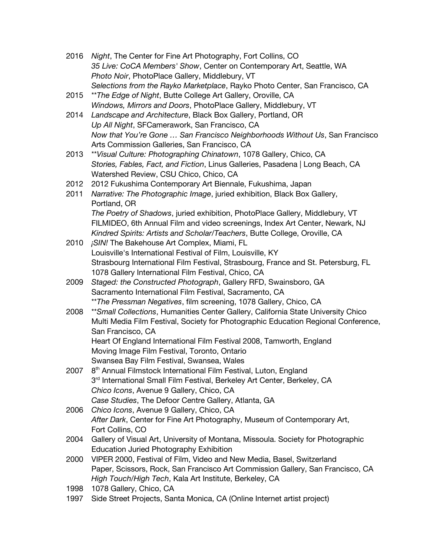- 2016 *Night*, The Center for Fine Art Photography, Fort Collins, CO *35 Live: CoCA Members' Show*, Center on Contemporary Art, Seattle, WA *Photo Noir*, PhotoPlace Gallery, Middlebury, VT *Selections from the Rayko Marketplace*, Rayko Photo Center, San Francisco, CA
- 2015 \*\**The Edge of Night*, Butte College Art Gallery, Oroville, CA *Windows, Mirrors and Doors*, PhotoPlace Gallery, Middlebury, VT
- 2014 *Landscape and Architecture*, Black Box Gallery, Portland, OR *Up All Night*, SFCamerawork, San Francisco, CA *Now that You're Gone … San Francisco Neighborhoods Without Us*, San Francisco Arts Commission Galleries, San Francisco, CA
- 2013 \*\**Visual Culture: Photographing Chinatown*, 1078 Gallery, Chico, CA *Stories, Fables, Fact, and Fiction*, Linus Galleries, Pasadena | Long Beach, CA Watershed Review, CSU Chico, Chico, CA
- 2012 2012 Fukushima Contemporary Art Biennale, Fukushima, Japan
- 2011 *Narrative: The Photographic Image*, juried exhibition, Black Box Gallery, Portland, OR *The Poetry of Shadows*, juried exhibition, PhotoPlace Gallery, Middlebury, VT FILMIDEO, 6th Annual Film and video screenings, Index Art Center, Newark, NJ *Kindred Spirits: Artists and Scholar/Teachers*, Butte College, Oroville, CA
- 2010 *¡SIN!* The Bakehouse Art Complex, Miami, FL Louisville's International Festival of Film, Louisville, KY Strasbourg International Film Festival, Strasbourg, France and St. Petersburg, FL 1078 Gallery International Film Festival, Chico, CA
- 2009 *Staged: the Constructed Photograph*, Gallery RFD, Swainsboro, GA Sacramento International Film Festival, Sacramento, CA \*\**The Pressman Negatives*, film screening, 1078 Gallery, Chico, CA
- 2008 \*\**Small Collections*, Humanities Center Gallery, California State University Chico Multi Media Film Festival, Society for Photographic Education Regional Conference, San Francisco, CA Heart Of England International Film Festival 2008, Tamworth, England Moving Image Film Festival, Toronto, Ontario
	- Swansea Bay Film Festival, Swansea, Wales
- 2007 8<sup>th</sup> Annual Filmstock International Film Festival, Luton, England 3<sup>rd</sup> International Small Film Festival, Berkeley Art Center, Berkeley, CA *Chico Icons*, Avenue 9 Gallery, Chico, CA *Case Studies*, The Defoor Centre Gallery, Atlanta, GA
- 2006 *Chico Icons*, Avenue 9 Gallery, Chico, CA *After Dark*, Center for Fine Art Photography, Museum of Contemporary Art, Fort Collins, CO
- 2004 Gallery of Visual Art, University of Montana, Missoula. Society for Photographic Education Juried Photography Exhibition
- 2000 VIPER 2000, Festival of Film, Video and New Media, Basel, Switzerland Paper, Scissors, Rock, San Francisco Art Commission Gallery, San Francisco, CA *High Touch/High Tech*, Kala Art Institute, Berkeley, CA
- 1998 1078 Gallery, Chico, CA
- 1997 Side Street Projects, Santa Monica, CA (Online Internet artist project)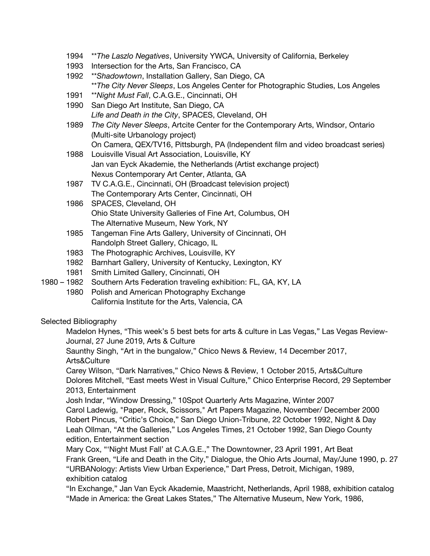- 1994 \*\**The Laszlo Negatives*, University YWCA, University of California, Berkeley
- 1993 Intersection for the Arts, San Francisco, CA
- 1992 \*\**Shadowtown*, Installation Gallery, San Diego, CA \*\**The City Never Sleeps*, Los Angeles Center for Photographic Studies, Los Angeles
- 1991 \*\**Night Must Fall*, C.A.G.E., Cincinnati, OH
- 1990 San Diego Art Institute, San Diego, CA *Life and Death in the City*, SPACES, Cleveland, OH
- 1989 *The City Never Sleeps*, Artcite Center for the Contemporary Arts, Windsor, Ontario (Multi-site Urbanology project)
	- On Camera, QEX/TV16, Pittsburgh, PA (Independent film and video broadcast series)
- 1988 Louisville Visual Art Association, Louisville, KY Jan van Eyck Akademie, the Netherlands (Artist exchange project) Nexus Contemporary Art Center, Atlanta, GA
- 1987 TV C.A.G.E., Cincinnati, OH (Broadcast television project) The Contemporary Arts Center, Cincinnati, OH
- 1986 SPACES, Cleveland, OH Ohio State University Galleries of Fine Art, Columbus, OH The Alternative Museum, New York, NY
- 1985 Tangeman Fine Arts Gallery, University of Cincinnati, OH Randolph Street Gallery, Chicago, IL
- 1983 The Photographic Archives, Louisville, KY
- 1982 Barnhart Gallery, University of Kentucky, Lexington, KY
- 1981 Smith Limited Gallery, Cincinnati, OH
- 1980 1982 Southern Arts Federation traveling exhibition: FL, GA, KY, LA
	- 1980 Polish and American Photography Exchange California Institute for the Arts, Valencia, CA

# Selected Bibliography

Madelon Hynes, "This week's 5 best bets for arts & culture in Las Vegas," Las Vegas Review-Journal, 27 June 2019, Arts & Culture

Saunthy Singh, "Art in the bungalow," Chico News & Review, 14 December 2017, Arts&Culture

Carey Wilson, "Dark Narratives," Chico News & Review, 1 October 2015, Arts&Culture Dolores Mitchell, "East meets West in Visual Culture," Chico Enterprise Record, 29 September 2013, Entertainment

Josh Indar, "Window Dressing," 10Spot Quarterly Arts Magazine, Winter 2007 Carol Ladewig, "Paper, Rock, Scissors," Art Papers Magazine, November/ December 2000 Robert Pincus, "Critic's Choice," San Diego Union-Tribune, 22 October 1992, Night & Day Leah Ollman, "At the Galleries," Los Angeles Times, 21 October 1992, San Diego County edition, Entertainment section

Mary Cox, "'Night Must Fall' at C.A.G.E.," The Downtowner, 23 April 1991, Art Beat Frank Green, "Life and Death in the City," Dialogue, the Ohio Arts Journal, May/June 1990, p. 27 "URBANology: Artists View Urban Experience," Dart Press, Detroit, Michigan, 1989, exhibition catalog

"In Exchange," Jan Van Eyck Akademie, Maastricht, Netherlands, April 1988, exhibition catalog "Made in America: the Great Lakes States," The Alternative Museum, New York, 1986,